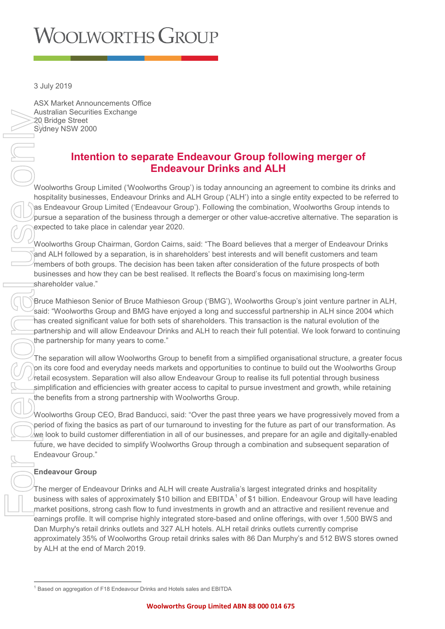# **VOOLWORTHS GROUP**

3 July 2019

ASX Market Announcements Office Australian Securities Exchange 20 Bridge Street Sydney NSW 2000

# **Intention to separate Endeavour Group following merger of Endeavour Drinks and ALH**

Woolworths Group Limited ('Woolworths Group') is today announcing an agreement to combine its drinks and hospitality businesses, Endeavour Drinks and ALH Group ('ALH') into a single entity expected to be referred to as Endeavour Group Limited ('Endeavour Group'). Following the combination, Woolworths Group intends to pursue a separation of the business through a demerger or other value-accretive alternative. The separation is expected to take place in calendar year 2020.

Woolworths Group Chairman, Gordon Cairns, said: "The Board believes that a merger of Endeavour Drinks and ALH followed by a separation, is in shareholders' best interests and will benefit customers and team members of both groups. The decision has been taken after consideration of the future prospects of both businesses and how they can be best realised. It reflects the Board's focus on maximising long-term shareholder value."

Bruce Mathieson Senior of Bruce Mathieson Group ('BMG'), Woolworths Group's joint venture partner in ALH, said: "Woolworths Group and BMG have enjoyed a long and successful partnership in ALH since 2004 which has created significant value for both sets of shareholders. This transaction is the natural evolution of the partnership and will allow Endeavour Drinks and ALH to reach their full potential. We look forward to continuing the partnership for many years to come."

The separation will allow Woolworths Group to benefit from a simplified organisational structure, a greater focus on its core food and everyday needs markets and opportunities to continue to build out the Woolworths Group retail ecosystem. Separation will also allow Endeavour Group to realise its full potential through business simplification and efficiencies with greater access to capital to pursue investment and growth, while retaining the benefits from a strong partnership with Woolworths Group.

Woolworths Group CEO, Brad Banducci, said: "Over the past three years we have progressively moved from a period of fixing the basics as part of our turnaround to investing for the future as part of our transformation. As we look to build customer differentiation in all of our businesses, and prepare for an agile and digitally-enabled future, we have decided to simplify Woolworths Group through a combination and subsequent separation of Endeavour Group."

## **Endeavour Group**

The merger of Endeavour Drinks and ALH will create Australia's largest integrated drinks and hospitality business with sales of approximately \$[1](#page-0-0)0 billion and EBITDA<sup>1</sup> of \$1 billion. Endeavour Group will have leading market positions, strong cash flow to fund investments in growth and an attractive and resilient revenue and earnings profile. It will comprise highly integrated store-based and online offerings, with over 1,500 BWS and Dan Murphy's retail drinks outlets and 327 ALH hotels. ALH retail drinks outlets currently comprise approximately 35% of Woolworths Group retail drinks sales with 86 Dan Murphy's and 512 BWS stores owned by ALH at the end of March 2019.

<span id="page-0-0"></span>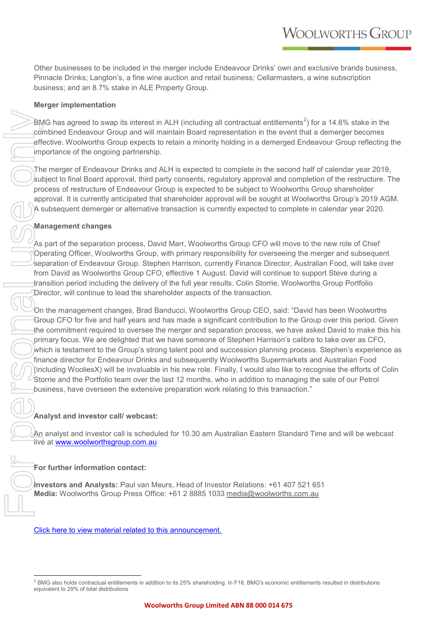Other businesses to be included in the merger include Endeavour Drinks' own and exclusive brands business, Pinnacle Drinks; Langton's, a fine wine auction and retail business; Cellarmasters, a wine subscription business; and an 8.7% stake in ALE Property Group.

#### **Merger implementation**

BMG has agreed to swap its interest in ALH (including all contractual entitlements<sup>[2](#page-1-0)</sup>) for a 14.6% stake in the combined Endeavour Group and will maintain Board representation in the event that a demerger becomes effective. Woolworths Group expects to retain a minority holding in a demerged Endeavour Group reflecting the importance of the ongoing partnership.

The merger of Endeavour Drinks and ALH is expected to complete in the second half of calendar year 2019, subject to final Board approval, third party consents, regulatory approval and completion of the restructure. The process of restructure of Endeavour Group is expected to be subject to Woolworths Group shareholder approval. It is currently anticipated that shareholder approval will be sought at Woolworths Group's 2019 AGM. A subsequent demerger or alternative transaction is currently expected to complete in calendar year 2020.

## **Management changes**

As part of the separation process, David Marr, Woolworths Group CFO will move to the new role of Chief Operating Officer, Woolworths Group, with primary responsibility for overseeing the merger and subsequent separation of Endeavour Group. Stephen Harrison, currently Finance Director, Australian Food, will take over from David as Woolworths Group CFO, effective 1 August. David will continue to support Steve during a transition period including the delivery of the full year results. Colin Storrie, Woolworths Group Portfolio Director, will continue to lead the shareholder aspects of the transaction.

On the management changes, Brad Banducci, Woolworths Group CEO, said: "David has been Woolworths Group CFO for five and half years and has made a significant contribution to the Group over this period. Given the commitment required to oversee the merger and separation process, we have asked David to make this his primary focus. We are delighted that we have someone of Stephen Harrison's calibre to take over as CFO, which is testament to the Group's strong talent pool and succession planning process. Stephen's experience as finance director for Endeavour Drinks and subsequently Woolworths Supermarkets and Australian Food (including WooliesX) will be invaluable in his new role. Finally, I would also like to recognise the efforts of Colin Storrie and the Portfolio team over the last 12 months, who in addition to managing the sale of our Petrol business, have overseen the extensive preparation work relating to this transaction." EMG has agreed to swap its<br>
combined Endeavour Group<br>
effective. Woolworths Group<br>
importance of the ongoing particular of the<br>
process of restricutive of Endeavour Diversions of the approval. It is currently anticial<br>
A s

## **Analyst and investor call/ webcast:**

An analyst and investor call is scheduled for 10.30 am Australian Eastern Standard Time and will be webcast live at [www.woolworthsgroup.com.au](https://www.woolworthsgroup.com.au/page/investors/our-performance/webcasts/)

## **For further information contact:**

**Investors and Analysts:** Paul van Meurs, Head of Investor Relations: +61 407 521 651 **Media:** Woolworths Group Press Office: +61 2 8885 1033 [media@woolworths.com.au](mailto:media@woolworths.com.au)

Click here to view [material related to this announcement.](https://www.woolworthsgroup.com.au/page/investors/our-performance/investor-news/)

<span id="page-1-0"></span> $^{2}$  BMG also holds contractual entitlements in addition to its 25% shareholding. In F18, BMG's economic entitlements resulted in distributions equivalent to 29% of total distributions